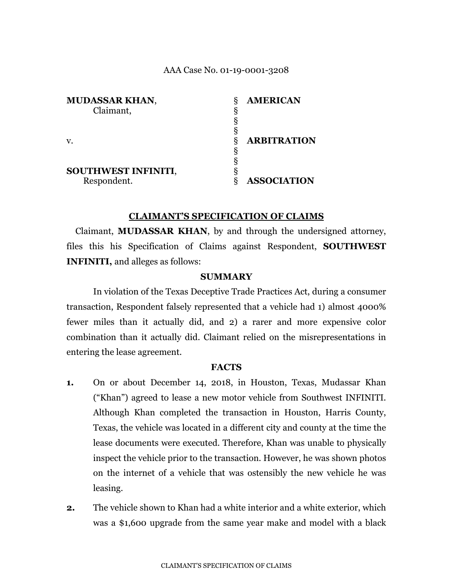### AAA Case No. 01-19-0001-3208

| <b>MUDASSAR KHAN,</b> | δ | <b>AMERICAN</b>    |
|-----------------------|---|--------------------|
| Claimant,             | δ |                    |
|                       | 8 |                    |
|                       | δ |                    |
|                       | δ | <b>ARBITRATION</b> |
|                       | δ |                    |
|                       |   |                    |
| SOUTHWEST INFINITI,   |   |                    |
| Respondent.           |   | <b>ASSOCIATION</b> |

### **CLAIMANT'S SPECIFICATION OF CLAIMS**

Claimant, **MUDASSAR KHAN**, by and through the undersigned attorney, files this his Specification of Claims against Respondent, **SOUTHWEST INFINITI,** and alleges as follows:

### **SUMMARY**

In violation of the Texas Deceptive Trade Practices Act, during a consumer transaction, Respondent falsely represented that a vehicle had 1) almost 4000% fewer miles than it actually did, and 2) a rarer and more expensive color combination than it actually did. Claimant relied on the misrepresentations in entering the lease agreement.

#### **FACTS**

- **1.** On or about December 14, 2018, in Houston, Texas, Mudassar Khan ("Khan") agreed to lease a new motor vehicle from Southwest INFINITI. Although Khan completed the transaction in Houston, Harris County, Texas, the vehicle was located in a different city and county at the time the lease documents were executed. Therefore, Khan was unable to physically inspect the vehicle prior to the transaction. However, he was shown photos on the internet of a vehicle that was ostensibly the new vehicle he was leasing.
- **2.** The vehicle shown to Khan had a white interior and a white exterior, which was a \$1,600 upgrade from the same year make and model with a black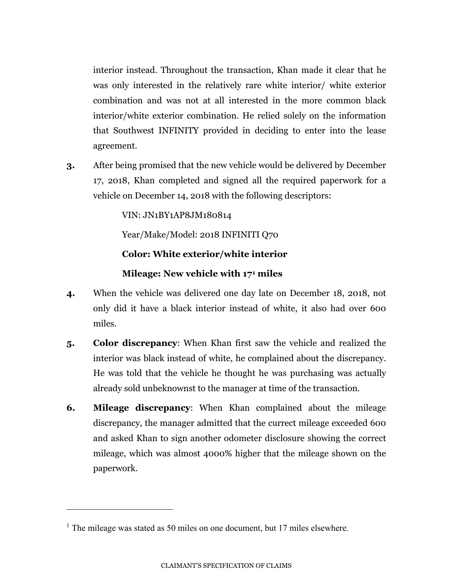interior instead. Throughout the transaction, Khan made it clear that he was only interested in the relatively rare white interior/ white exterior combination and was not at all interested in the more common black interior/white exterior combination. He relied solely on the information that Southwest INFINITY provided in deciding to enter into the lease agreement.

**3.** After being promised that the new vehicle would be delivered by December 17, 2018, Khan completed and signed all the required paperwork for a vehicle on December 14, 2018 with the following descriptors:

VIN: JN1BY1AP8JM180814

Year/Make/Model: 2018 INFINITI Q70

# **Color: White exterior/white interior**

# **Mileage: New vehicle with 17[1](#page-1-0) miles**

- **4.** When the vehicle was delivered one day late on December 18, 2018, not only did it have a black interior instead of white, it also had over 600 miles.
- **5. Color discrepancy**: When Khan first saw the vehicle and realized the interior was black instead of white, he complained about the discrepancy. He was told that the vehicle he thought he was purchasing was actually already sold unbeknownst to the manager at time of the transaction.
- **6. Mileage discrepancy**: When Khan complained about the mileage discrepancy, the manager admitted that the currect mileage exceeded 600 and asked Khan to sign another odometer disclosure showing the correct mileage, which was almost 4000% higher that the mileage shown on the paperwork.

 $\overline{a}$ 

<span id="page-1-0"></span><sup>&</sup>lt;sup>1</sup> The mileage was stated as 50 miles on one document, but 17 miles elsewhere.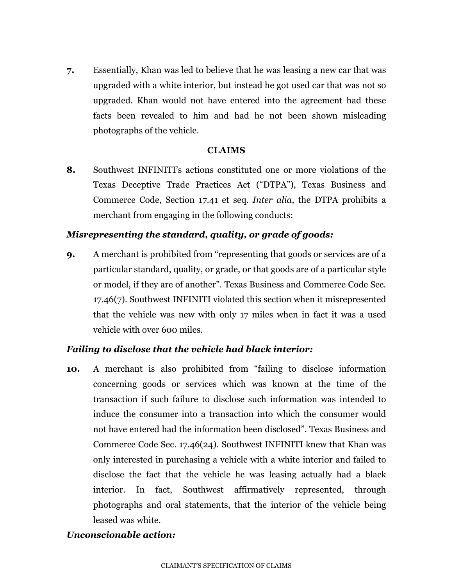**7.** Essentially, Khan was led to believe that he was leasing a new car that was upgraded with a white interior, but instead he got used car that was not so upgraded. Khan would not have entered into the agreement had these facts been revealed to him and had he not been shown misleading photographs of the vehicle.

## **CLAIMS**

**8.** Southwest INFINITI's actions constituted one or more violations of the Texas Deceptive Trade Practices Act ("DTPA"), Texas Business and Commerce Code, Section 17.41 et seq. *Inter alia*, the DTPA prohibits a merchant from engaging in the following conducts:

## *Misrepresenting the standard, quality, or grade of goods:*

**9.** A merchant is prohibited from "representing that goods or services are of a particular standard, quality, or grade, or that goods are of a particular style or model, if they are of another". Texas Business and Commerce Code Sec. 17.46(7). Southwest INFINITI violated this section when it misrepresented that the vehicle was new with only 17 miles when in fact it was a used vehicle with over 600 miles.

## *Failing to disclose that the vehicle had black interior:*

**10.** A merchant is also prohibited from "failing to disclose information concerning goods or services which was known at the time of the transaction if such failure to disclose such information was intended to induce the consumer into a transaction into which the consumer would not have entered had the information been disclosed". Texas Business and Commerce Code Sec. 17.46(24). Southwest INFINITI knew that Khan was only interested in purchasing a vehicle with a white interior and failed to disclose the fact that the vehicle he was leasing actually had a black interior. In fact, Southwest affirmatively represented, through photographs and oral statements, that the interior of the vehicle being leased was white.

## *Unconscionable action:*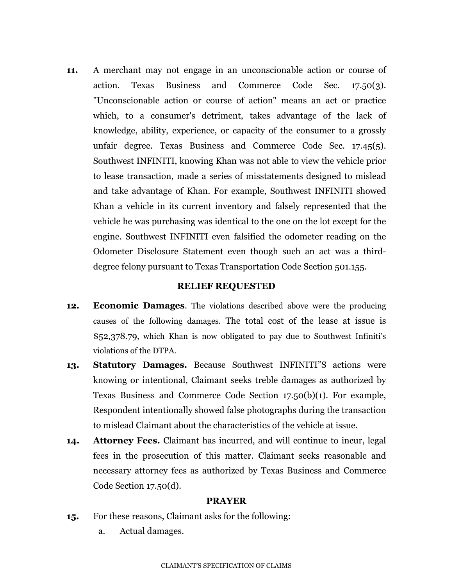**11.** A merchant may not engage in an unconscionable action or course of action. Texas Business and Commerce Code Sec. 17.50(3). "Unconscionable action or course of action" means an act or practice which, to a consumer's detriment, takes advantage of the lack of knowledge, ability, experience, or capacity of the consumer to a grossly unfair degree. Texas Business and Commerce Code Sec. 17.45(5). Southwest INFINITI, knowing Khan was not able to view the vehicle prior to lease transaction, made a series of misstatements designed to mislead and take advantage of Khan. For example, Southwest INFINITI showed Khan a vehicle in its current inventory and falsely represented that the vehicle he was purchasing was identical to the one on the lot except for the engine. Southwest INFINITI even falsified the odometer reading on the Odometer Disclosure Statement even though such an act was a thirddegree felony pursuant to Texas Transportation Code Section 501.155.

### **RELIEF REQUESTED**

- **12. Economic Damages**. The violations described above were the producing causes of the following damages. The total cost of the lease at issue is \$52,378.79, which Khan is now obligated to pay due to Southwest Infiniti's violations of the DTPA.
- **13. Statutory Damages.** Because Southwest INFINITI"S actions were knowing or intentional, Claimant seeks treble damages as authorized by Texas Business and Commerce Code Section 17.50(b)(1). For example, Respondent intentionally showed false photographs during the transaction to mislead Claimant about the characteristics of the vehicle at issue.
- **14. Attorney Fees.** Claimant has incurred, and will continue to incur, legal fees in the prosecution of this matter. Claimant seeks reasonable and necessary attorney fees as authorized by Texas Business and Commerce Code Section 17.50(d).

### **PRAYER**

- **15.** For these reasons, Claimant asks for the following:
	- a. Actual damages.